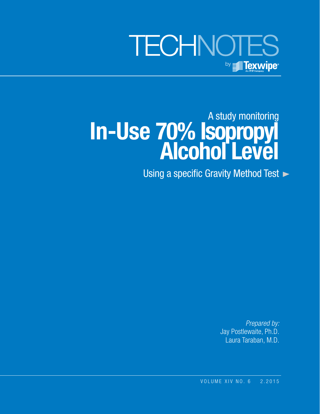

# A study monitoring **In-Use 70% Isopropyl Alcohol Level**

Using a specific Gravity Method Test  $\blacktriangleright$ 

*Prepared by:* Jay Postlewaite, Ph.D. Laura Taraban, M.D.

VOLUME XIV NO. 6 2.2015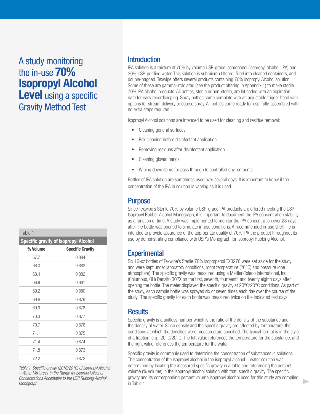# A study monitoring the in-use **70% Isopropyl Alcohol Level** using a specific Gravity Method Test

Table 1

| iuuiv i                                      |                         |  |  |  |  |  |
|----------------------------------------------|-------------------------|--|--|--|--|--|
| <b>Specific gravity of Isopropyl Alcohol</b> |                         |  |  |  |  |  |
| % Volume                                     | <b>Specific Gravity</b> |  |  |  |  |  |
| 67.7                                         | 0.884                   |  |  |  |  |  |
| 68.0                                         | 0.883                   |  |  |  |  |  |
| 68.4                                         | 0.882                   |  |  |  |  |  |
| 68.8                                         | 0.881                   |  |  |  |  |  |
| 69.2                                         | 0.880                   |  |  |  |  |  |
| 69.6                                         | 0.879                   |  |  |  |  |  |
| 69.9                                         | 0.878                   |  |  |  |  |  |
| 70.3                                         | 0.877                   |  |  |  |  |  |
| 70.7                                         | 0.876                   |  |  |  |  |  |
| 71.1                                         | 0.875                   |  |  |  |  |  |
| 71.4                                         | 0.874                   |  |  |  |  |  |
| 71.8                                         | 0.873                   |  |  |  |  |  |
| 72.2                                         | 0.872                   |  |  |  |  |  |

*Table 1. Specific gravity (20°C/20°C) of Isopropyl Alcohol – Water Mixtures1 in the Range for Isopropyl Alcohol Concentrations Acceptable to the USP Rubbing Alcohol Monograph*

#### **Introduction**

IPA solution is a mixture of 70% by volume USP-grade Isopropanol (isopropyl alcohol, IPA) and 30% USP-purified water. This solution is submicron filtered, filled into cleaned containers, and double-bagged. Texwipe offers several products containing 70% Isopropyl Alcohol solution. Some of these are gamma-irradiated (see the product offering in Appendix 1) to make sterile 70% IPA alcohol products. All bottles, sterile or non-sterile, are lot coded with an expiration date for easy recordkeeping. Spray bottles come complete with an adjustable trigger head with options for stream delivery or coarse spray. All bottles come ready for use, fully-assembled with no extra steps required.

Isopropyl Alcohol solutions are intended to be used for cleaning and residue removal:

- Cleaning general surfaces
- Pre-cleaning before disinfectant application
- Removing residues after disinfectant application
- Cleaning gloved hands
- Wiping down items for pass through to controlled environments

Bottles of IPA solution are sometimes used over several days. It is important to know if the concentration of the IPA in solution is varying as it is used.

### Purpose

Since Texwipe's Sterile 70% by volume USP-grade IPA products are offered meeting the USP Isopropyl Rubber Alcohol Monograph, it is important to document the IPA concentration stability as a function of time. A study was implemented to monitor the IPA concentration over 28 days after the bottle was opened to simulate in-use conditions. A recommended in-use shelf-life is intended to provide assurance of the appropriate quality of 70% IPA the product throughout its use by demonstrating compliance with USP's Monograph for Isopropyl Rubbing Alcohol.

### **Experimental**

Six 16-oz bottles of Texwipe's Sterile 70% Isopropanol TX3270 were set aside for the study and were kept under laboratory conditions, room temperature (20°C) and pressure (one atmosphere). The specific gravity was measured using a Mettler-Toledo International, Inc. (Columbus, OH) Densito 30PX on the first, seventh, fourteenth and twenty eighth days after opening the bottle. The meter displayed the specific gravity at 20°C/20°C conditions. As part of the study, each sample bottle was sprayed six or seven times each day over the course of the study. The specific gravity for each bottle was measured twice on the indicated test days.

#### **Results**

Specific gravity is a unitless number which is the ratio of the density of the substance and the density of water. Since density and the specific gravity are affected by temperature, the conditions at which the densities were measured are specified. The typical format is in the style of a fraction, e.g., 20°C/20°C. The left value references the temperature for the substance, and the right value references the temperature for the water.

Specific gravity is commonly used to determine the concentration of substances in solutions. The concentration of the isopropyl alcohol in the isopropyl alcohol – water solution was determined by locating the measured specific gravity in a table and referencing the percent volume (% Volume) in the isopropyl alcohol solution with that specific gravity. The specific gravity and its corresponding percent volume isopropyl alcohol used for this study are compiled in Table 1.

b.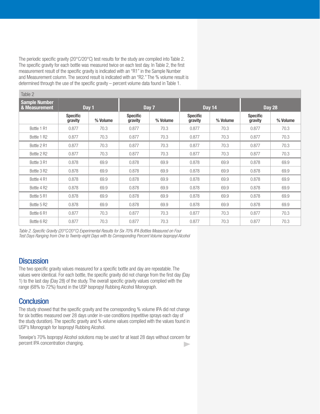The periodic specific gravity (20°C/20°C) test results for the study are compiled into Table 2. The specific gravity for each bottle was measured twice on each test day. In Table 2, the first measurement result of the specific gravity is indicated with an "R1" in the Sample Number and Measurement column. The second result is indicated with an "R2." The % volume result is determined through the use of the specific gravity – percent volume data found in Table 1.

| Table 2                                        |                            |          |                            |               |                            |               |                            |          |
|------------------------------------------------|----------------------------|----------|----------------------------|---------------|----------------------------|---------------|----------------------------|----------|
| <b>Sample Number</b><br>& Measurement<br>Day 1 |                            | Day 7    |                            | <b>Day 14</b> |                            | <b>Day 28</b> |                            |          |
|                                                | <b>Specific</b><br>gravity | % Volume | <b>Specific</b><br>gravity | % Volume      | <b>Specific</b><br>gravity | % Volume      | <b>Specific</b><br>gravity | % Volume |
| Bottle 1 R1                                    | 0.877                      | 70.3     | 0.877                      | 70.3          | 0.877                      | 70.3          | 0.877                      | 70.3     |
| Bottle 1 R2                                    | 0.877                      | 70.3     | 0.877                      | 70.3          | 0.877                      | 70.3          | 0.877                      | 70.3     |
| Bottle 2 R1                                    | 0.877                      | 70.3     | 0.877                      | 70.3          | 0.877                      | 70.3          | 0.877                      | 70.3     |
| Bottle 2 R2                                    | 0.877                      | 70.3     | 0.877                      | 70.3          | 0.877                      | 70.3          | 0.877                      | 70.3     |
| Bottle 3 R1                                    | 0.878                      | 69.9     | 0.878                      | 69.9          | 0.878                      | 69.9          | 0.878                      | 69.9     |
| Bottle 3 R2                                    | 0.878                      | 69.9     | 0.878                      | 69.9          | 0.878                      | 69.9          | 0.878                      | 69.9     |
| Bottle 4 R1                                    | 0.878                      | 69.9     | 0.878                      | 69.9          | 0.878                      | 69.9          | 0.878                      | 69.9     |
| Bottle 4 R2                                    | 0.878                      | 69.9     | 0.878                      | 69.9          | 0.878                      | 69.9          | 0.878                      | 69.9     |
| Bottle 5 R1                                    | 0.878                      | 69.9     | 0.878                      | 69.9          | 0.878                      | 69.9          | 0.878                      | 69.9     |
| Bottle 5 R2                                    | 0.878                      | 69.9     | 0.878                      | 69.9          | 0.878                      | 69.9          | 0.878                      | 69.9     |
| Bottle 6 R1                                    | 0.877                      | 70.3     | 0.877                      | 70.3          | 0.877                      | 70.3          | 0.877                      | 70.3     |
| Bottle 6 R2                                    | 0.877                      | 70.3     | 0.877                      | 70.3          | 0.877                      | 70.3          | 0.877                      | 70.3     |

*Table 2. Specific Gravity (20°C/20°C) Experimental Results for Six 70% IPA Bottles Measured on Four Test Days Ranging from One to Twenty-eight Days with Its Corresponding Percent Volume Isopropyl Alcohol*

#### **Discussion**

The two specific gravity values measured for a specific bottle and day are repeatable. The values were identical. For each bottle, the specific gravity did not change from the first day (Day 1) to the last day (Day 28) of the study. The overall specific gravity values complied with the range (68% to 72%) found in the USP Isopropyl Rubbing Alcohol Monograph.

### **Conclusion**

The study showed that the specific gravity and the corresponding % volume IPA did not change for six bottles measured over 28 days under in-use conditions (repetitive sprays each day of the study duration). The specific gravity and % volume values complied with the values found in USP's Monograph for Isopropyl Rubbing Alcohol.

Texwipe's 70% Isopropyl Alcohol solutions may be used for at least 28 days without concern for percent IPA concentration changing. $\mathbf{r}$